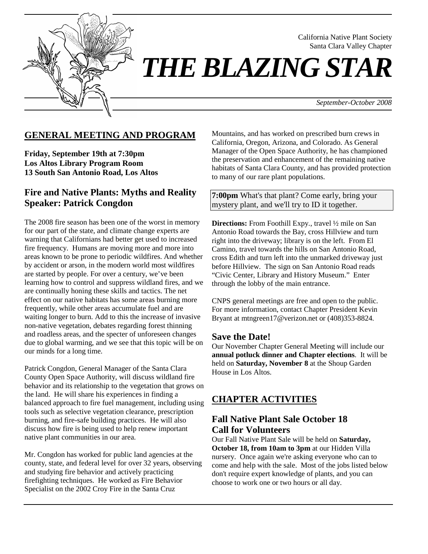

 California Native Plant Society Santa Clara Valley Chapter

*THE BLAZING STAR* 

 *September-October 2008*

# **GENERAL MEETING AND PROGRAM**

**Friday, September 19th at 7:30pm Los Altos Library Program Room 13 South San Antonio Road, Los Altos** 

### **Fire and Native Plants: Myths and Reality Speaker: Patrick Congdon**

The 2008 fire season has been one of the worst in memory for our part of the state, and climate change experts are warning that Californians had better get used to increased fire frequency. Humans are moving more and more into areas known to be prone to periodic wildfires. And whether by accident or arson, in the modern world most wildfires are started by people. For over a century, we've been learning how to control and suppress wildland fires, and we are continually honing these skills and tactics. The net effect on our native habitats has some areas burning more frequently, while other areas accumulate fuel and are waiting longer to burn. Add to this the increase of invasive non-native vegetation, debates regarding forest thinning and roadless areas, and the specter of unforeseen changes due to global warming, and we see that this topic will be on our minds for a long time.

Patrick Congdon, General Manager of the Santa Clara County Open Space Authority, will discuss wildland fire behavior and its relationship to the vegetation that grows on the land. He will share his experiences in finding a balanced approach to fire fuel management, including using tools such as selective vegetation clearance, prescription burning, and fire-safe building practices. He will also discuss how fire is being used to help renew important native plant communities in our area.

Mr. Congdon has worked for public land agencies at the county, state, and federal level for over 32 years, observing and studying fire behavior and actively practicing firefighting techniques. He worked as Fire Behavior Specialist on the 2002 Croy Fire in the Santa Cruz

Mountains, and has worked on prescribed burn crews in California, Oregon, Arizona, and Colorado. As General Manager of the Open Space Authority, he has championed the preservation and enhancement of the remaining native habitats of Santa Clara County, and has provided protection to many of our rare plant populations.

**7:00pm** What's that plant? Come early, bring your mystery plant, and we'll try to ID it together.

**Directions:** From Foothill Expy., travel ½ mile on San Antonio Road towards the Bay, cross Hillview and turn right into the driveway; library is on the left. From El Camino, travel towards the hills on San Antonio Road, cross Edith and turn left into the unmarked driveway just before Hillview. The sign on San Antonio Road reads "Civic Center, Library and History Museum." Enter through the lobby of the main entrance.

CNPS general meetings are free and open to the public. For more information, contact Chapter President Kevin Bryant at mtngreen17@verizon.net or (408)353-8824.

### **Save the Date!**

Our November Chapter General Meeting will include our **annual potluck dinner and Chapter elections**. It will be held on **Saturday, November 8** at the Shoup Garden House in Los Altos.

## **CHAPTER ACTIVITIES**

### **Fall Native Plant Sale October 18 Call for Volunteers**

Our Fall Native Plant Sale will be held on **Saturday, October 18, from 10am to 3pm** at our Hidden Villa nursery. Once again we're asking everyone who can to come and help with the sale. Most of the jobs listed below don't require expert knowledge of plants, and you can choose to work one or two hours or all day.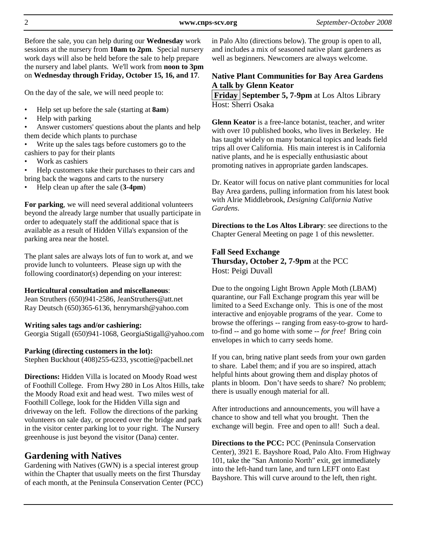Before the sale, you can help during our **Wednesday** work sessions at the nursery from **10am to 2pm**. Special nursery work days will also be held before the sale to help prepare the nursery and label plants. We'll work from **noon to 3pm** on **Wednesday through Friday, October 15, 16, and 17**.

On the day of the sale, we will need people to:

- Help set up before the sale (starting at **8am**)
- Help with parking
- Answer customers' questions about the plants and help them decide which plants to purchase
- Write up the sales tags before customers go to the cashiers to pay for their plants
- Work as cashiers
- Help customers take their purchases to their cars and bring back the wagons and carts to the nursery
- Help clean up after the sale (**3-4pm**)

**For parking**, we will need several additional volunteers beyond the already large number that usually participate in order to adequately staff the additional space that is available as a result of Hidden Villa's expansion of the parking area near the hostel.

The plant sales are always lots of fun to work at, and we provide lunch to volunteers. Please sign up with the following coordinator(s) depending on your interest:

#### **Horticultural consultation and miscellaneous**:

Jean Struthers (650)941-2586, JeanStruthers@att.net Ray Deutsch (650)365-6136, henrymarsh@yahoo.com

#### **Writing sales tags and/or cashiering:**

Georgia Stigall (650)941-1068, GeorgiaStigall@yahoo.com

#### **Parking (directing customers in the lot):**

Stephen Buckhout (408)255-6233, yscottie@pacbell.net

**Directions:** Hidden Villa is located on Moody Road west of Foothill College. From Hwy 280 in Los Altos Hills, take the Moody Road exit and head west. Two miles west of Foothill College, look for the Hidden Villa sign and driveway on the left. Follow the directions of the parking volunteers on sale day, or proceed over the bridge and park in the visitor center parking lot to your right. The Nursery greenhouse is just beyond the visitor (Dana) center.

### **Gardening with Natives**

Gardening with Natives (GWN) is a special interest group within the Chapter that usually meets on the first Thursday of each month, at the Peninsula Conservation Center (PCC) in Palo Alto (directions below). The group is open to all, and includes a mix of seasoned native plant gardeners as well as beginners. Newcomers are always welcome.

### **Native Plant Communities for Bay Area Gardens A talk by Glenn Keator**

**Friday September 5, 7-9pm** at Los Altos Library Host: Sherri Osaka

**Glenn Keator** is a free-lance botanist, teacher, and writer with over 10 published books, who lives in Berkeley. He has taught widely on many botanical topics and leads field trips all over California. His main interest is in California native plants, and he is especially enthusiastic about promoting natives in appropriate garden landscapes.

Dr. Keator will focus on native plant communities for local Bay Area gardens, pulling information from his latest book with Alrie Middlebrook, *Designing California Native Gardens*.

**Directions to the Los Altos Library**: see directions to the Chapter General Meeting on page 1 of this newsletter.

#### **Fall Seed Exchange Thursday, October 2, 7-9pm** at the PCC Host: Peigi Duvall

Due to the ongoing Light Brown Apple Moth (LBAM) quarantine, our Fall Exchange program this year will be limited to a Seed Exchange only. This is one of the most interactive and enjoyable programs of the year. Come to browse the offerings -- ranging from easy-to-grow to hardto-find -- and go home with some -- *for free!* Bring coin envelopes in which to carry seeds home.

If you can, bring native plant seeds from your own garden to share. Label them; and if you are so inspired, attach helpful hints about growing them and display photos of plants in bloom. Don't have seeds to share? No problem; there is usually enough material for all.

After introductions and announcements, you will have a chance to show and tell what you brought. Then the exchange will begin. Free and open to all! Such a deal.

**Directions to the PCC:** PCC (Peninsula Conservation Center), 3921 E. Bayshore Road, Palo Alto. From Highway 101, take the "San Antonio North" exit, get immediately into the left-hand turn lane, and turn LEFT onto East Bayshore. This will curve around to the left, then right.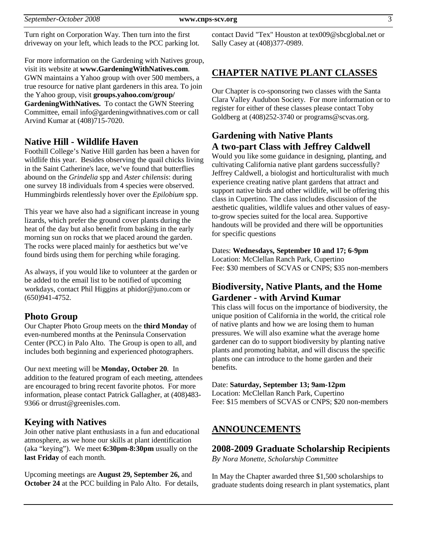Turn right on Corporation Way. Then turn into the first driveway on your left, which leads to the PCC parking lot.

For more information on the Gardening with Natives group, visit its website at **www.GardeningWithNatives.com**. GWN maintains a Yahoo group with over 500 members, a true resource for native plant gardeners in this area. To join the Yahoo group, visit **groups.yahoo.com/group/ GardeningWithNatives.** To contact the GWN Steering Committee, email info@gardeningwithnatives.com or call Arvind Kumar at (408)715-7020.

### **Native Hill - Wildlife Haven**

Foothill College's Native Hill garden has been a haven for wildlife this year. Besides observing the quail chicks living in the Saint Catherine's lace, we've found that butterflies abound on the *Grindelia* spp and *Aster chilensis*: during one survey 18 individuals from 4 species were observed. Hummingbirds relentlessly hover over the *Epilobium* spp.

This year we have also had a significant increase in young lizards, which prefer the ground cover plants during the heat of the day but also benefit from basking in the early morning sun on rocks that we placed around the garden. The rocks were placed mainly for aesthetics but we've found birds using them for perching while foraging.

As always, if you would like to volunteer at the garden or be added to the email list to be notified of upcoming workdays, contact Phil Higgins at phidor@juno.com or (650)941-4752.

## **Photo Group**

Our Chapter Photo Group meets on the **third Monday** of even-numbered months at the Peninsula Conservation Center (PCC) in Palo Alto. The Group is open to all, and includes both beginning and experienced photographers.

Our next meeting will be **Monday, October 20**. In addition to the featured program of each meeting, attendees are encouraged to bring recent favorite photos. For more information, please contact Patrick Gallagher, at (408)483- 9366 or drrust@greenisles.com.

## **Keying with Natives**

Join other native plant enthusiasts in a fun and educational atmosphere, as we hone our skills at plant identification (aka "keying"). We meet **6:30pm-8:30pm** usually on the **last Friday** of each month.

Upcoming meetings are **August 29, September 26,** and **October 24** at the PCC building in Palo Alto. For details,

contact David "Tex" Houston at tex009@sbcglobal.net or Sally Casey at (408)377-0989.

## **CHAPTER NATIVE PLANT CLASSES**

Our Chapter is co-sponsoring two classes with the Santa Clara Valley Audubon Society. For more information or to register for either of these classes please contact Toby Goldberg at  $(408)252-3740$  or programs@scvas.org.

# **Gardening with Native Plants A two-part Class with Jeffrey Caldwell**

Would you like some guidance in designing, planting, and cultivating California native plant gardens successfully? Jeffrey Caldwell, a biologist and horticulturalist with much experience creating native plant gardens that attract and support native birds and other wildlife, will be offering this class in Cupertino. The class includes discussion of the aesthetic qualities, wildlife values and other values of easyto-grow species suited for the local area. Supportive handouts will be provided and there will be opportunities for specific questions

Dates: **Wednesdays, September 10 and 17; 6-9pm** Location: McClellan Ranch Park, Cupertino Fee: \$30 members of SCVAS or CNPS; \$35 non-members

# **Biodiversity, Native Plants, and the Home Gardener - with Arvind Kumar**

This class will focus on the importance of biodiversity, the unique position of California in the world, the critical role of native plants and how we are losing them to human pressures. We will also examine what the average home gardener can do to support biodiversity by planting native plants and promoting habitat, and will discuss the specific plants one can introduce to the home garden and their benefits.

#### Date: **Saturday, September 13; 9am-12pm**

Location: McClellan Ranch Park, Cupertino Fee: \$15 members of SCVAS or CNPS; \$20 non-members

# **ANNOUNCEMENTS**

### **2008-2009 Graduate Scholarship Recipients**

*By Nora Monette, Scholarship Committee*

In May the Chapter awarded three \$1,500 scholarships to graduate students doing research in plant systematics, plant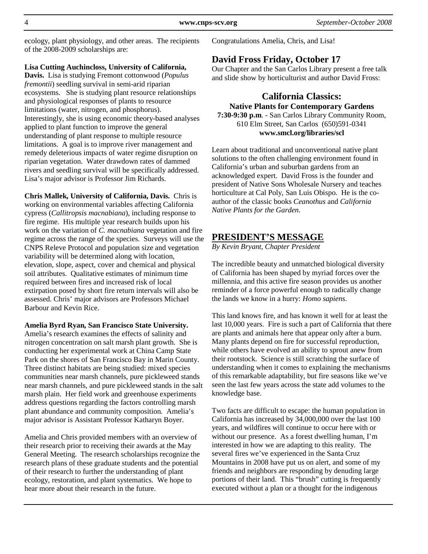ecology, plant physiology, and other areas. The recipients of the 2008-2009 scholarships are:

#### **Lisa Cutting Auchincloss, University of California,**

**Davis.** Lisa is studying Fremont cottonwood (*Populus fremontii*) seedling survival in semi-arid riparian ecosystems. She is studying plant resource relationships and physiological responses of plants to resource limitations (water, nitrogen, and phosphorus). Interestingly, she is using economic theory-based analyses applied to plant function to improve the general understanding of plant response to multiple resource limitations. A goal is to improve river management and remedy deleterious impacts of water regime disruption on riparian vegetation. Water drawdown rates of dammed rivers and seedling survival will be specifically addressed. Lisa's major advisor is Professor Jim Richards.

**Chris Mallek, University of California, Davis.** Chris is working on environmental variables affecting California cypress (*Callitropsis macnabiana*), including response to fire regime. His multiple year research builds upon his work on the variation of *C. macnabiana* vegetation and fire regime across the range of the species. Surveys will use the CNPS Releve Protocol and population size and vegetation variability will be determined along with location, elevation, slope, aspect, cover and chemical and physical soil attributes. Qualitative estimates of minimum time required between fires and increased risk of local extirpation posed by short fire return intervals will also be assessed. Chris' major advisors are Professors Michael Barbour and Kevin Rice.

#### **Amelia Byrd Ryan, San Francisco State University.**

Amelia's research examines the effects of salinity and nitrogen concentration on salt marsh plant growth. She is conducting her experimental work at China Camp State Park on the shores of San Francisco Bay in Marin County. Three distinct habitats are being studied: mixed species communities near marsh channels, pure pickleweed stands near marsh channels, and pure pickleweed stands in the salt marsh plain. Her field work and greenhouse experiments address questions regarding the factors controlling marsh plant abundance and community composition. Amelia's major advisor is Assistant Professor Katharyn Boyer.

Amelia and Chris provided members with an overview of their research prior to receiving their awards at the May General Meeting. The research scholarships recognize the research plans of these graduate students and the potential of their research to further the understanding of plant ecology, restoration, and plant systematics. We hope to hear more about their research in the future.

Congratulations Amelia, Chris, and Lisa!

### **David Fross Friday, October 17**

Our Chapter and the San Carlos Library present a free talk and slide show by horticulturist and author David Fross:

### **California Classics: Native Plants for Contemporary Gardens 7:30-9:30 p.m**. - San Carlos Library Community Room,

610 Elm Street, San Carlos (650)591-0341 **www.smcl.org/libraries/scl** 

Learn about traditional and unconventional native plant solutions to the often challenging environment found in California's urban and suburban gardens from an acknowledged expert. David Fross is the founder and president of Native Sons Wholesale Nursery and teaches horticulture at Cal Poly, San Luis Obispo. He is the coauthor of the classic books *Ceanothus* and *California Native Plants for the Garden*.

### **PRESIDENT'S MESSAGE**

*By Kevin Bryant, Chapter President* 

The incredible beauty and unmatched biological diversity of California has been shaped by myriad forces over the millennia, and this active fire season provides us another reminder of a force powerful enough to radically change the lands we know in a hurry: *Homo sapiens*.

This land knows fire, and has known it well for at least the last 10,000 years. Fire is such a part of California that there are plants and animals here that appear only after a burn. Many plants depend on fire for successful reproduction, while others have evolved an ability to sprout anew from their rootstock. Science is still scratching the surface of understanding when it comes to explaining the mechanisms of this remarkable adaptability, but fire seasons like we've seen the last few years across the state add volumes to the knowledge base.

Two facts are difficult to escape: the human population in California has increased by 34,000,000 over the last 100 years, and wildfires will continue to occur here with or without our presence. As a forest dwelling human, I'm interested in how we are adapting to this reality. The several fires we've experienced in the Santa Cruz Mountains in 2008 have put us on alert, and some of my friends and neighbors are responding by denuding large portions of their land. This "brush" cutting is frequently executed without a plan or a thought for the indigenous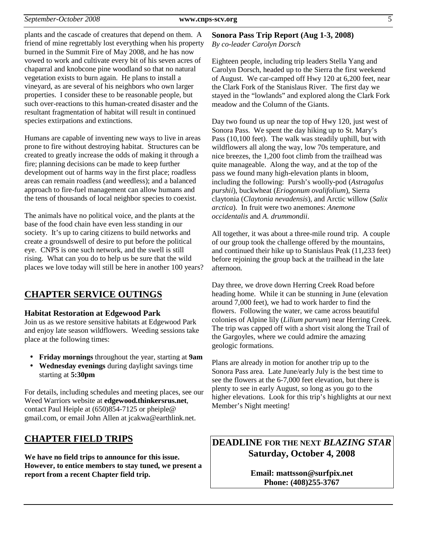plants and the cascade of creatures that depend on them. A friend of mine regrettably lost everything when his property burned in the Summit Fire of May 2008, and he has now vowed to work and cultivate every bit of his seven acres of chaparral and knobcone pine woodland so that no natural vegetation exists to burn again. He plans to install a vineyard, as are several of his neighbors who own larger properties. I consider these to be reasonable people, but such over-reactions to this human-created disaster and the resultant fragmentation of habitat will result in continued species extirpations and extinctions.

Humans are capable of inventing new ways to live in areas prone to fire without destroying habitat. Structures can be created to greatly increase the odds of making it through a fire; planning decisions can be made to keep further development out of harms way in the first place; roadless areas can remain roadless (and weedless); and a balanced approach to fire-fuel management can allow humans and the tens of thousands of local neighbor species to coexist.

The animals have no political voice, and the plants at the base of the food chain have even less standing in our society. It's up to caring citizens to build networks and create a groundswell of desire to put before the political eye. CNPS is one such network, and the swell is still rising. What can you do to help us be sure that the wild places we love today will still be here in another 100 years?

## **CHAPTER SERVICE OUTINGS**

#### **Habitat Restoration at Edgewood Park**

Join us as we restore sensitive habitats at Edgewood Park and enjoy late season wildflowers. Weeding sessions take place at the following times:

- **Friday mornings** throughout the year, starting at **9am**
- **Wednesday evenings** during daylight savings time starting at **5:30pm**

For details, including schedules and meeting places, see our Weed Warriors website at **edgewood.thinkersrus.net**, contact Paul Heiple at (650)854-7125 or pheiple@ gmail.com, or email John Allen at jcakwa@earthlink.net.

## **CHAPTER FIELD TRIPS**

**We have no field trips to announce for this issue. However, to entice members to stay tuned, we present a report from a recent Chapter field trip.** 

### **Sonora Pass Trip Report (Aug 1-3, 2008)**

*By co-leader Carolyn Dorsch*

Eighteen people, including trip leaders Stella Yang and Carolyn Dorsch, headed up to the Sierra the first weekend of August. We car-camped off Hwy 120 at 6,200 feet, near the Clark Fork of the Stanislaus River. The first day we stayed in the "lowlands" and explored along the Clark Fork meadow and the Column of the Giants.

Day two found us up near the top of Hwy 120, just west of Sonora Pass. We spent the day hiking up to St. Mary's Pass (10,100 feet). The walk was steadily uphill, but with wildflowers all along the way, low 70s temperature, and nice breezes, the 1,200 foot climb from the trailhead was quite manageable. Along the way, and at the top of the pass we found many high-elevation plants in bloom, including the following: Pursh's woolly-pod (*Astragalus purshii*), buckwheat (*Eriogonum ovalifolium*), Sierra claytonia (*Claytonia nevadensis*), and Arctic willow (*Salix arctica*). In fruit were two anemones: *Anemone occidentalis* and *A. drummondii*.

All together, it was about a three-mile round trip. A couple of our group took the challenge offered by the mountains, and continued their hike up to Stanislaus Peak (11,233 feet) before rejoining the group back at the trailhead in the late afternoon.

Day three, we drove down Herring Creek Road before heading home. While it can be stunning in June (elevation around 7,000 feet), we had to work harder to find the flowers. Following the water, we came across beautiful colonies of Alpine lily (*Lilium parvum*) near Herring Creek. The trip was capped off with a short visit along the Trail of the Gargoyles, where we could admire the amazing geologic formations.

Plans are already in motion for another trip up to the Sonora Pass area. Late June/early July is the best time to see the flowers at the 6-7,000 feet elevation, but there is plenty to see in early August, so long as you go to the higher elevations. Look for this trip's highlights at our next Member's Night meeting!

# **DEADLINE FOR THE NEXT** *BLAZING STAR*  **Saturday, October 4, 2008**

**Email: mattsson@surfpix.net Phone: (408)255-3767**